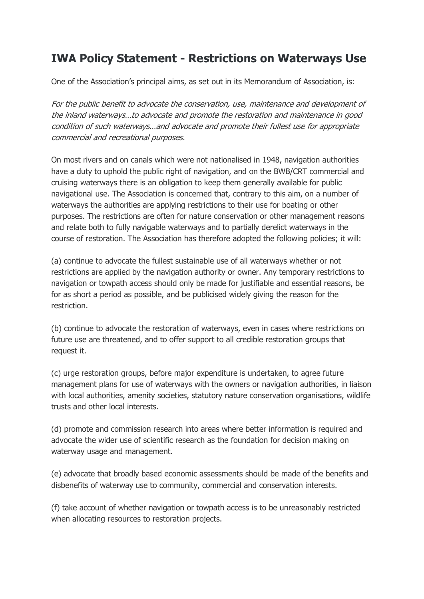## **IWA Policy Statement - Restrictions on Waterways Use**

One of the Association's principal aims, as set out in its Memorandum of Association, is:

For the public benefit to advocate the conservation, use, maintenance and development of the inland waterways…to advocate and promote the restoration and maintenance in good condition of such waterways…and advocate and promote their fullest use for appropriate commercial and recreational purposes.

On most rivers and on canals which were not nationalised in 1948, navigation authorities have a duty to uphold the public right of navigation, and on the BWB/CRT commercial and cruising waterways there is an obligation to keep them generally available for public navigational use. The Association is concerned that, contrary to this aim, on a number of waterways the authorities are applying restrictions to their use for boating or other purposes. The restrictions are often for nature conservation or other management reasons and relate both to fully navigable waterways and to partially derelict waterways in the course of restoration. The Association has therefore adopted the following policies; it will:

(a) continue to advocate the fullest sustainable use of all waterways whether or not restrictions are applied by the navigation authority or owner. Any temporary restrictions to navigation or towpath access should only be made for justifiable and essential reasons, be for as short a period as possible, and be publicised widely giving the reason for the restriction.

(b) continue to advocate the restoration of waterways, even in cases where restrictions on future use are threatened, and to offer support to all credible restoration groups that request it.

(c) urge restoration groups, before major expenditure is undertaken, to agree future management plans for use of waterways with the owners or navigation authorities, in liaison with local authorities, amenity societies, statutory nature conservation organisations, wildlife trusts and other local interests.

(d) promote and commission research into areas where better information is required and advocate the wider use of scientific research as the foundation for decision making on waterway usage and management.

(e) advocate that broadly based economic assessments should be made of the benefits and disbenefits of waterway use to community, commercial and conservation interests.

(f) take account of whether navigation or towpath access is to be unreasonably restricted when allocating resources to restoration projects.